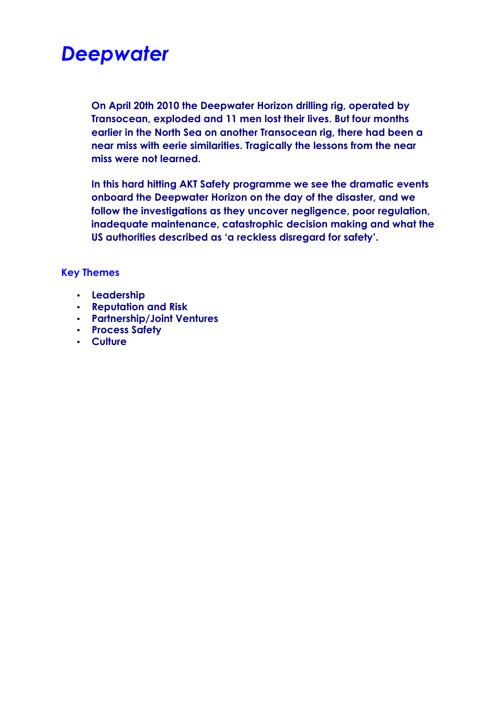## *Deepwater*

**On April 20th 2010 the Deepwater Horizon drilling rig, operated by Transocean, exploded and 11 men lost their lives. But four months earlier in the North Sea on another Transocean rig, there had been a near miss with eerie similarities. Tragically the lessons from the near miss were not learned.**

**In this hard hitting AKT Safety programme we see the dramatic events onboard the Deepwater Horizon on the day of the disaster, and we follow the investigations as they uncover negligence, poor regulation, inadequate maintenance, catastrophic decision making and what the US authorities described as 'a reckless disregard for safety'.**

### **Key Themes**

- **Leadership**
- **Reputation and Risk**
- **Partnership/Joint Ventures**
- **Process Safety**
- **Culture**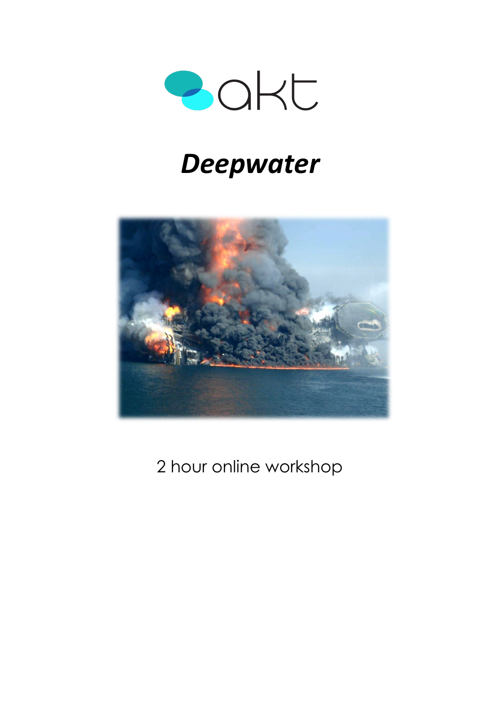

# *Deepwater!*



2 hour online workshop